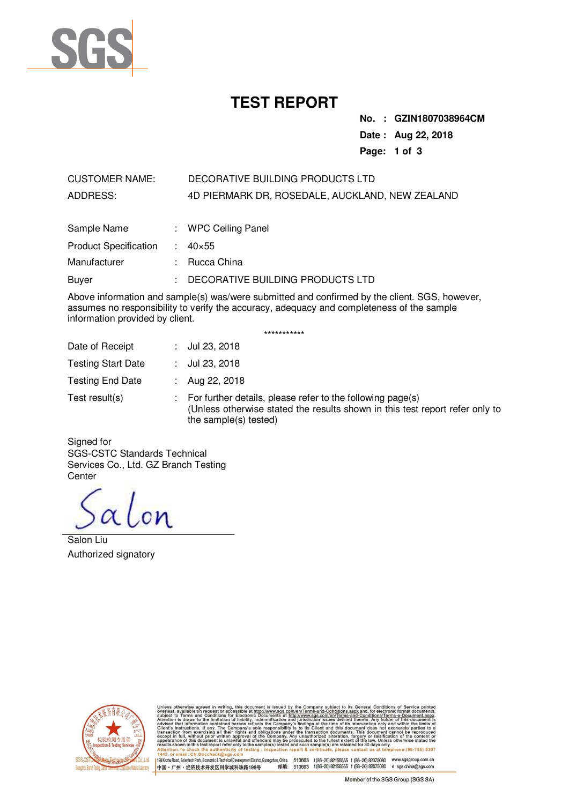

## **TEST REPORT**

**No. : GZIN1807038964CM Date : Aug 22, 2018 Page: 1 of 3** 

### CUSTOMER NAME: DECORATIVE BUILDING PRODUCTS LTD ADDRESS: 4D PIERMARK DR, ROSEDALE, AUCKLAND, NEW ZEALAND

| Sample Name                  | : WPC Ceiling Panel              |
|------------------------------|----------------------------------|
| <b>Product Specification</b> | $: 40 \times 55$                 |
| Manufacturer                 | : Rucca China                    |
| Buver                        | DECORATIVE BUILDING PRODUCTS LTD |

Above information and sample(s) was/were submitted and confirmed by the client. SGS, however, assumes no responsibility to verify the accuracy, adequacy and completeness of the sample information provided by client.

|                           |     | ***********                                                                                                                                                         |
|---------------------------|-----|---------------------------------------------------------------------------------------------------------------------------------------------------------------------|
| Date of Receipt           |     | : $Jul 23, 2018$                                                                                                                                                    |
| <b>Testing Start Date</b> | t i | Jul 23, 2018                                                                                                                                                        |
| <b>Testing End Date</b>   |     | Aug 22, 2018                                                                                                                                                        |
| Test result(s)            |     | For further details, please refer to the following page(s)<br>(Unless otherwise stated the results shown in this test report refer only to<br>the sample(s) tested) |

Signed for SGS-CSTC Standards Technical Services Co., Ltd. GZ Branch Testing **Center** 

alon

Salon Liu Authorized signatory



its General Conditions of Service The mean of the conditions are conditioned to the conditional conditions of the conditions of the conditions of the conditions of the conditions of the conditions of the conditions of the conditions of the conditions of th www.sgs.com/<br>iments at http<br>nification and at http://w<br>ronic Docu or Electro<br>of liabilit  $(86 - 755)$  8307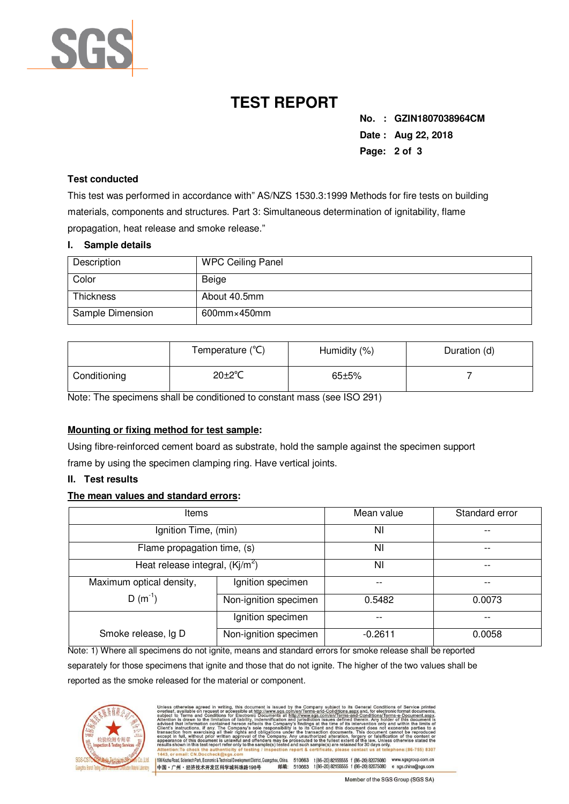

# **TEST REPORT**

**No. : GZIN1807038964CM Date : Aug 22, 2018 Page: 2 of 3** 

### **Test conducted**

This test was performed in accordance with" AS/NZS 1530.3:1999 Methods for fire tests on building materials, components and structures. Part 3: Simultaneous determination of ignitability, flame propagation, heat release and smoke release."

#### **I. Sample details**

| Description      | <b>WPC Ceiling Panel</b> |
|------------------|--------------------------|
| Color            | Beige                    |
| <b>Thickness</b> | About 40.5mm             |
| Sample Dimension | $600$ mm $\times$ 450mm  |

|              | Temperature (°C)     | Humidity (%) | Duration (d) |
|--------------|----------------------|--------------|--------------|
| Conditioning | $20 \pm 2^{\circ}$ C | $65 + 5%$    |              |

Note: The specimens shall be conditioned to constant mass (see ISO 291)

#### **Mounting or fixing method for test sample:**

Using fibre-reinforced cement board as substrate, hold the sample against the specimen support frame by using the specimen clamping ring. Have vertical joints.

#### **II. Test results**

#### **The mean values and standard errors:**

| <b>Items</b>                     |                       | Mean value | Standard error |
|----------------------------------|-----------------------|------------|----------------|
| Ignition Time, (min)             |                       | NI         |                |
| Flame propagation time, (s)      |                       | NI         |                |
| Heat release integral, $(Ki/m2)$ |                       | NI         | --             |
| Maximum optical density,         | Ignition specimen     |            | --             |
| $D(m^{-1})$                      | Non-ignition specimen | 0.5482     | 0.0073         |
|                                  | Ignition specimen     |            | --             |
| Smoke release, Ig D              | Non-ignition specimen | $-0.2611$  | 0.0058         |

Note: 1) Where all specimens do not ignite, means and standard errors for smoke release shall be reported separately for those specimens that ignite and those that do not ignite. The higher of the two values shall be reported as the smoke released for the material or component.



| Unless otherwise agreed in writing, this document is issued by the Company subject to its General Conditions of Service printed<br>overleaf, available on request or accessible at http://www.sqs.com/en/Terms-and-Conditions.aspx and, for electronic format documents,<br>subject to Terms and Conditions for Electronic Documents at http://www.sgs.com/en/Terms-and-Conditions/Terms-e-Document.aspx.<br>Attention is drawn to the limitation of liability, indemnification and jurisdiction issues defined therein. Any holder of this document is<br>advised that information contained hereon reflects the Company's findings at the time of its intervention only and within the limits of<br>Client's instructions, if any. The Company's sole responsibility is to its Client and this document does not exonerate parties to a<br>transaction from exercising all their rights and obligations under the transaction documents. This document cannot be reproduced<br>except in full, without prior written approval of the Company. Any unauthorized alteration, forgery or falsification of the content or<br>appearance of this document is unlawful and offenders may be prosecuted to the fullest extent of the law. Unless otherwise stated the<br>results shown in this test report refer only to the sample(s) tested and such sample(s) are retained for 30 days only.<br>Attention: To check the authenticity of testing / inspection report & certificate, please contact us at telephone: (86-755) 8307<br>1443, or email: CN.Doccheck@sgs.com |
|-----------------------------------------------------------------------------------------------------------------------------------------------------------------------------------------------------------------------------------------------------------------------------------------------------------------------------------------------------------------------------------------------------------------------------------------------------------------------------------------------------------------------------------------------------------------------------------------------------------------------------------------------------------------------------------------------------------------------------------------------------------------------------------------------------------------------------------------------------------------------------------------------------------------------------------------------------------------------------------------------------------------------------------------------------------------------------------------------------------------------------------------------------------------------------------------------------------------------------------------------------------------------------------------------------------------------------------------------------------------------------------------------------------------------------------------------------------------------------------------------------------------------------------------------------------------------|
| 198 Kezhu Road, Scientech Park, Economic & Technical Development District, Guangzhou, China.<br>www.sgsgroup.com.cn<br>510663<br>t (86-20) 82155555 f (86-20) 82075080                                                                                                                                                                                                                                                                                                                                                                                                                                                                                                                                                                                                                                                                                                                                                                                                                                                                                                                                                                                                                                                                                                                                                                                                                                                                                                                                                                                                |
| e sgs.china@sgs.com<br>t (86-20) 82155555 f (86-20) 82075080<br>邮编:<br>中国·广州·经济技术开发区科学城科珠路198号<br>510663                                                                                                                                                                                                                                                                                                                                                                                                                                                                                                                                                                                                                                                                                                                                                                                                                                                                                                                                                                                                                                                                                                                                                                                                                                                                                                                                                                                                                                                              |